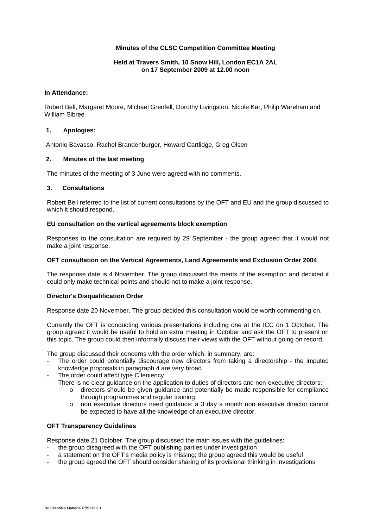# **Minutes of the CLSC Competition Committee Meeting**

# **Held at Travers Smith, 10 Snow Hill, London EC1A 2AL on 17 September 2009 at 12.00 noon**

## **In Attendance:**

Robert Bell, Margaret Moore, Michael Grenfell, Dorothy Livingston, Nicole Kar, Philip Wareham and William Sibree

### **1. Apologies:**

Antonio Bavasso, Rachel Brandenburger, Howard Cartlidge, Greg Olsen

## **2. Minutes of the last meeting**

The minutes of the meeting of 3 June were agreed with no comments.

#### **3. Consultations**

Robert Bell referred to the list of current consultations by the OFT and EU and the group discussed to which it should respond.

## **EU consultation on the vertical agreements block exemption**

Responses to the consultation are required by 29 September - the group agreed that it would not make a joint response.

#### **OFT consultation on the Vertical Agreements, Land Agreements and Exclusion Order 2004**

The response date is 4 November. The group discussed the merits of the exemption and decided it could only make technical points and should not to make a joint response.

## **Director's Disqualification Order**

Response date 20 November. The group decided this consultation would be worth commenting on.

Currently the OFT is conducting various presentations including one at the ICC on 1 October. The group agreed it would be useful to hold an extra meeting in October and ask the OFT to present on this topic. The group could then informally discuss their views with the OFT without going on record.

The group discussed their concerns with the order which, in summary, are:

- The order could potentially discourage new directors from taking a directorship the imputed knowledge proposals in paragraph 4 are very broad.
- The order could affect type C leniency
	- There is no clear guidance on the application to duties of directors and non-executive directors:
		- o directors should be given guidance and potentially be made responsible for compliance through programmes and regular training.
		- o non executive directors need guidance: a 3 day a month non executive director cannot be expected to have all the knowledge of an executive director.

#### **OFT Transparency Guidelines**

Response date 21 October. The group discussed the main issues with the guidelines:

- the group disagreed with the OFT publishing parties under investigation
- a statement on the OFT's media policy is missing; the group agreed this would be useful
- the group agreed the OFT should consider sharing of its provisional thinking in investigations